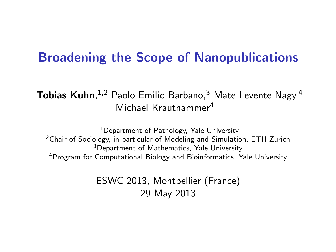### Broadening the Scope of Nanopublications

#### $\bm{\mathrm{Tobias}}$  Kuhn, $^{1,2}$  Paolo Emilio Barbano, $^3$  Mate Levente Nagy, $^4$ Michael Krauthammer $4,1$

Department of Pathology, Yale University Chair of Sociology, in particular of Modeling and Simulation, ETH Zurich <sup>3</sup>Department of Mathematics, Yale University Program for Computational Biology and Bioinformatics, Yale University

> <span id="page-0-0"></span>ESWC 2013, Montpellier (France) 29 May 2013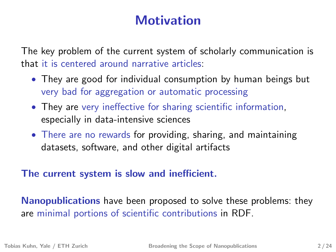## **Motivation**

The key problem of the current system of scholarly communication is that it is centered around narrative articles:

- They are good for individual consumption by human beings but very bad for aggregation or automatic processing
- They are very ineffective for sharing scientific information, especially in data-intensive sciences
- There are no rewards for providing, sharing, and maintaining datasets, software, and other digital artifacts

#### The current system is slow and inefficient.

Nanopublications have been proposed to solve these problems: they are minimal portions of scientific contributions in RDF.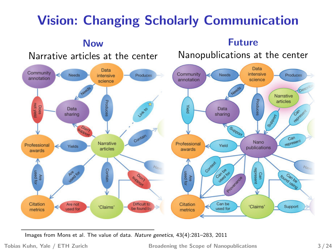## Vision: Changing Scholarly Communication



Images from Mons et al. The value of data. Nature genetics, 43(4):281–283, 2011

Tobias Kuhn, Yale / ETH Zurich [Broadening the Scope of Nanopublications](#page-0-0) 3 / 24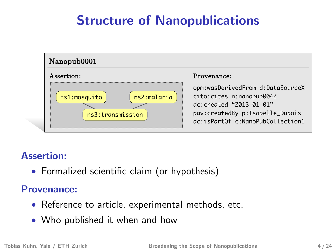## Structure of Nanopublications



#### Assertion:

• Formalized scientific claim (or hypothesis)

#### Provenance:

- Reference to article, experimental methods, etc.
- Who published it when and how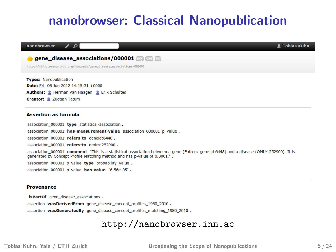## nanobrowser: Classical Nanopublication

| nanobrowser<br>$\circ$<br>∕                                           | <b>Calcular Tobias Kuhn</b> |
|-----------------------------------------------------------------------|-----------------------------|
| gene disease associations/000001 tria kml na                          |                             |
| http://rdf.biosemantics.org/nanopubs/gene_disease_associations/000001 |                             |
| <b>Types: Nanopublication</b>                                         |                             |
| Date: Fri, 08 Jun 2012 14:15:31 +0000                                 |                             |
| Authors: R Herman van Haagen & Erik Schultes                          |                             |
| <b>Creator: &amp; Zuotian Tatum</b>                                   |                             |

#### **Assertion as formula**

association\_000001 type statistical-association.

association 000001 has-measurement-value association 000001 p value.

association 000001 refers-to geneid:6448.

association 000001 refers-to omim:252900.

association 000001 comment "This is a statistical association between a gene (Entrenz gene id 6448) and a disease (OMIM 252900). It is generated by Concept Profile Matching method and has p-value of 0.0001."

association 000001 p value type probability value.

association 000001 p value has-value "6.56e-05".

#### **Provenance**

isPartOf gene disease associations. assertion wasDerivedFrom gene\_disease\_concept\_profiles\_1980\_2010. assertion wasGeneratedBy gene\_disease\_concept\_profiles\_matching\_1980\_2010.

#### <http://nanobrowser.inn.ac>

Tobias Kuhn, Yale / ETH Zurich [Broadening the Scope of Nanopublications](#page-0-0) 5 / 24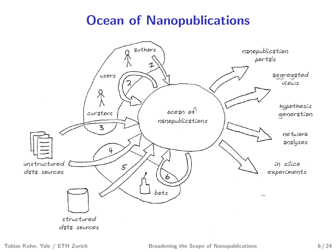### Ocean of Nanopublications

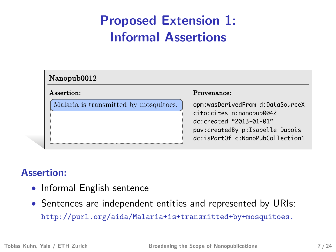## Proposed Extension 1: Informal Assertions



#### Assertion:

- Informal English sentence
- Sentences are independent entities and represented by URIs: <http://purl.org/aida/Malaria+is+transmitted+by+mosquitoes.>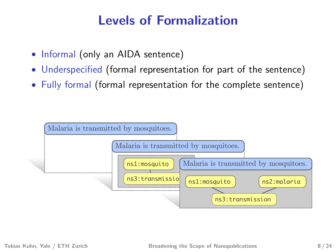### Levels of Formalization

- Informal (only an AIDA sentence)
- Underspecified (formal representation for part of the sentence)
- Fully formal (formal representation for the complete sentence)

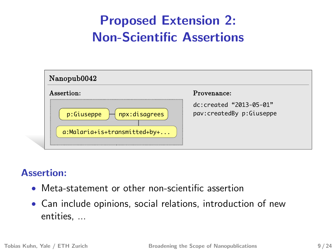## Proposed Extension 2: Non-Scientific Assertions

| Assertion:                                                  | Provenance:                                         |
|-------------------------------------------------------------|-----------------------------------------------------|
| npx:disagrees<br>p:Giuseppe<br>a:Malaria+is+transmitted+by+ | dc:created "2013-05-01"<br>pav:createdBy p:Giuseppe |

#### Assertion:

- Meta-statement or other non-scientific assertion
- Can include opinions, social relations, introduction of new entities, ...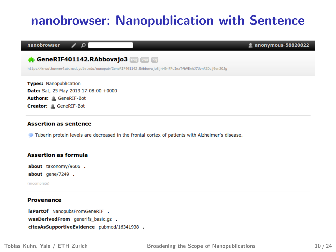### nanobrowser: Nanopublication with Sentence

| nanobrowser<br>Ω                                                                                       | <b>anonymous-58820822</b> |
|--------------------------------------------------------------------------------------------------------|---------------------------|
| GeneRIF401142.RAbbovajo3 <b>trig xml</b> ng                                                            |                           |
| http://krauthammerlab.med.yale.edu/nanopub/GeneRIF401142.RAbbovajo3jnH9n7PcIwxTfbVEmAJ7UvnR2Dcj9en20Jg |                           |
| <b>Types: Nanopublication</b>                                                                          |                           |
| Date: Sat, 25 May 2013 17:08:00 +0000                                                                  |                           |
| Authors: GeneRIF-Bot                                                                                   |                           |
| <b>Creator: L</b> GeneRIF-Bot                                                                          |                           |

#### **Assertion as sentence**

• Tuberin protein levels are decreased in the frontal cortex of patients with Alzheimer's disease.

#### **Assertion as formula**

about taxonomy/9606.

about gene/7249.

(incomplete)

#### **Provenance**

isPartOf NanopubsFromGeneRIF . wasDerivedFrom generifs\_basic.gz . citesAsSupportiveEvidence pubmed/16341938.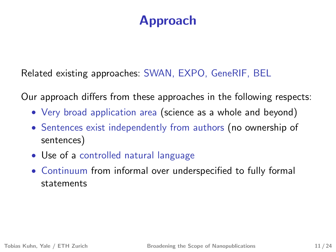## Approach

Related existing approaches: SWAN, EXPO, GeneRIF, BEL

Our approach differs from these approaches in the following respects:

- Very broad application area (science as a whole and beyond)
- Sentences exist independently from authors (no ownership of sentences)
- Use of a controlled natural language
- Continuum from informal over underspecified to fully formal statements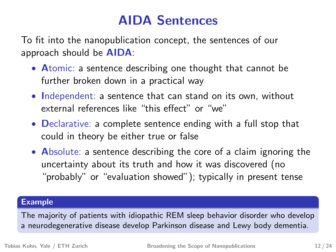### AIDA Sentences

To fit into the nanopublication concept, the sentences of our approach should be AIDA:

- Atomic: a sentence describing one thought that cannot be further broken down in a practical way
- Independent: a sentence that can stand on its own, without external references like "this effect" or "we"
- Declarative: a complete sentence ending with a full stop that could in theory be either true or false
- Absolute: a sentence describing the core of a claim ignoring the uncertainty about its truth and how it was discovered (no "probably" or "evaluation showed"); typically in present tense

#### Example

The majority of patients with idiopathic REM sleep behavior disorder who develop a neurodegenerative disease develop Parkinson disease and Lewy body dementia.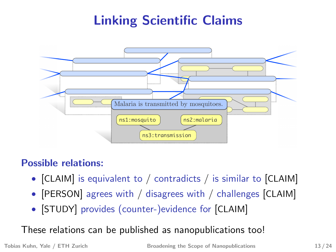## Linking Scientific Claims



#### Possible relations:

- [CLAIM] is equivalent to / contradicts / is similar to [CLAIM]
- [PERSON] agrees with / disagrees with / challenges [CLAIM]
- [STUDY] provides (counter-)evidence for [CLAIM]

These relations can be published as nanopublications too!

Tobias Kuhn, Yale / ETH Zurich [Broadening the Scope of Nanopublications](#page-0-0) 13 / 24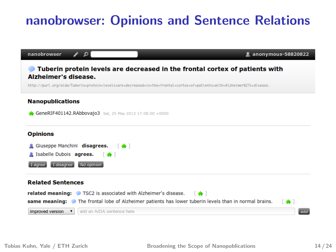## nanobrowser: Opinions and Sentence Relations

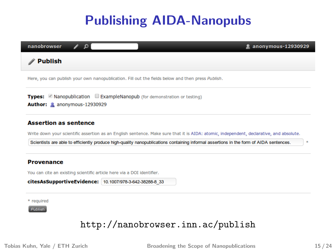## Publishing AIDA-Nanopubs

| nanobrowser                                                                                               | <b>anonymous-12930929</b> |
|-----------------------------------------------------------------------------------------------------------|---------------------------|
| <b>Publish</b>                                                                                            |                           |
| Here, you can publish your own nanopublication. Fill out the fields below and then press Publish.         |                           |
| <b>Types:</b> Nanopublication ExampleNanopub (for demonstration or testing)<br>Author: anonymous-12930929 |                           |
| <b>Assertion as sentence</b>                                                                              |                           |

Write down your scientific assertion as an English sentence. Make sure that it is AIDA: atomic, independent, declarative, and absolute.

Scientists are able to efficiently produce high-quality nanopublications containing informal assertions in the form of AIDA sentences.

#### **Provenance**

You can cite an existing scientific article here via a DOI identifier.

citesAsSupportiveEvidence: 10.1007/978-3-642-38288-8 33

\* required

Publish

#### <http://nanobrowser.inn.ac/publish>

Tobias Kuhn, Yale / ETH Zurich [Broadening the Scope of Nanopublications](#page-0-0) 15 / 24

 $\ast$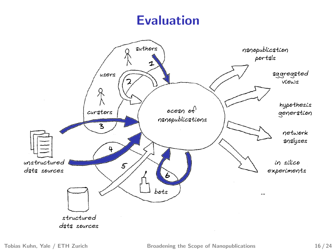### Evaluation

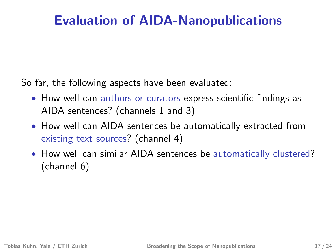## Evaluation of AIDA-Nanopublications

So far, the following aspects have been evaluated:

- How well can authors or curators express scientific findings as AIDA sentences? (channels 1 and 3)
- How well can AIDA sentences be automatically extracted from existing text sources? (channel 4)
- How well can similar AIDA sentences be automatically clustered? (channel 6)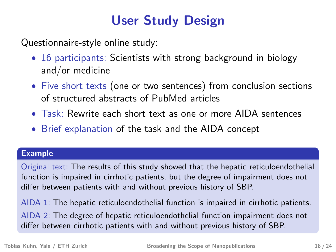## User Study Design

Questionnaire-style online study:

- 16 participants: Scientists with strong background in biology and/or medicine
- Five short texts (one or two sentences) from conclusion sections of structured abstracts of PubMed articles
- Task: Rewrite each short text as one or more AIDA sentences
- Brief explanation of the task and the AIDA concept

#### Example

Original text: The results of this study showed that the hepatic reticuloendothelial function is impaired in cirrhotic patients, but the degree of impairment does not differ between patients with and without previous history of SBP.

AIDA 1: The hepatic reticuloendothelial function is impaired in cirrhotic patients. AIDA 2: The degree of hepatic reticuloendothelial function impairment does not differ between cirrhotic patients with and without previous history of SBP.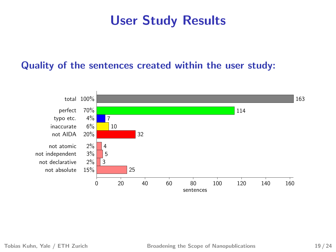### User Study Results

#### Quality of the sentences created within the user study:

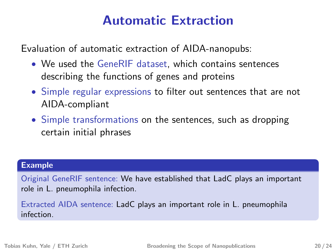### Automatic Extraction

Evaluation of automatic extraction of AIDA-nanopubs:

- We used the GeneRIF dataset, which contains sentences describing the functions of genes and proteins
- Simple regular expressions to filter out sentences that are not AIDA-compliant
- Simple transformations on the sentences, such as dropping certain initial phrases

#### Example

Original GeneRIF sentence: We have established that LadC plays an important role in L. pneumophila infection.

Extracted AIDA sentence: LadC plays an important role in L. pneumophila infection.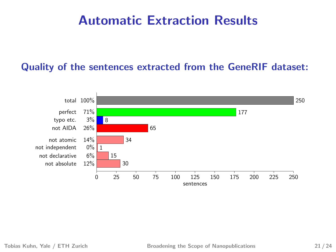### Automatic Extraction Results

#### Quality of the sentences extracted from the GeneRIF dataset:

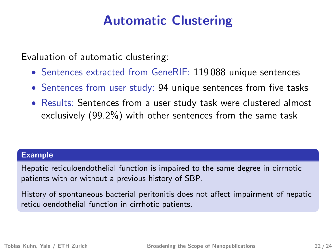## Automatic Clustering

Evaluation of automatic clustering:

- Sentences extracted from GeneRIF: 119 088 unique sentences
- Sentences from user study: 94 unique sentences from five tasks
- Results: Sentences from a user study task were clustered almost exclusively (99.2%) with other sentences from the same task

#### Example

Hepatic reticuloendothelial function is impaired to the same degree in cirrhotic patients with or without a previous history of SBP.

History of spontaneous bacterial peritonitis does not affect impairment of hepatic reticuloendothelial function in cirrhotic patients.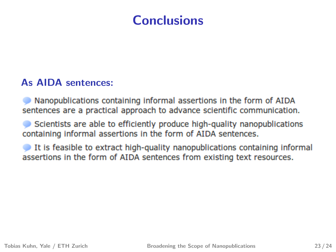## **Conclusions**

#### As AIDA sentences:

Nanopublications containing informal assertions in the form of AIDA sentences are a practical approach to advance scientific communication.

Scientists are able to efficiently produce high-quality nanopublications containing informal assertions in the form of AIDA sentences.

It is feasible to extract high-quality nanopublications containing informal assertions in the form of AIDA sentences from existing text resources.